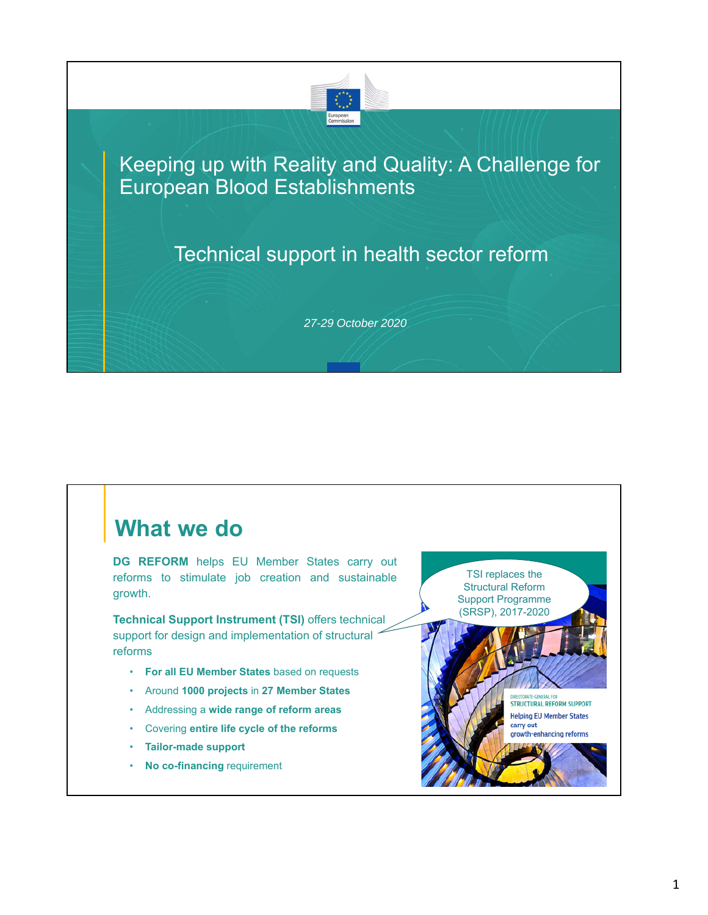

#### Keeping up with Reality and Quality: A Challenge for European Blood Establishments

### Technical support in health sector reform

*27-29 October 2020*

### **What we do**

**DG REFORM** helps EU Member States carry out reforms to stimulate job creation and sustainable growth.

**Technical Support Instrument (TSI)** offers technical support for design and implementation of structural reforms

- **For all EU Member States** based on requests
- Around **1000 projects** in **27 Member States**
- Addressing a **wide range of reform areas**
- Covering **entire life cycle of the reforms**
- **Tailor-made support**
- **No co-financing** requirement

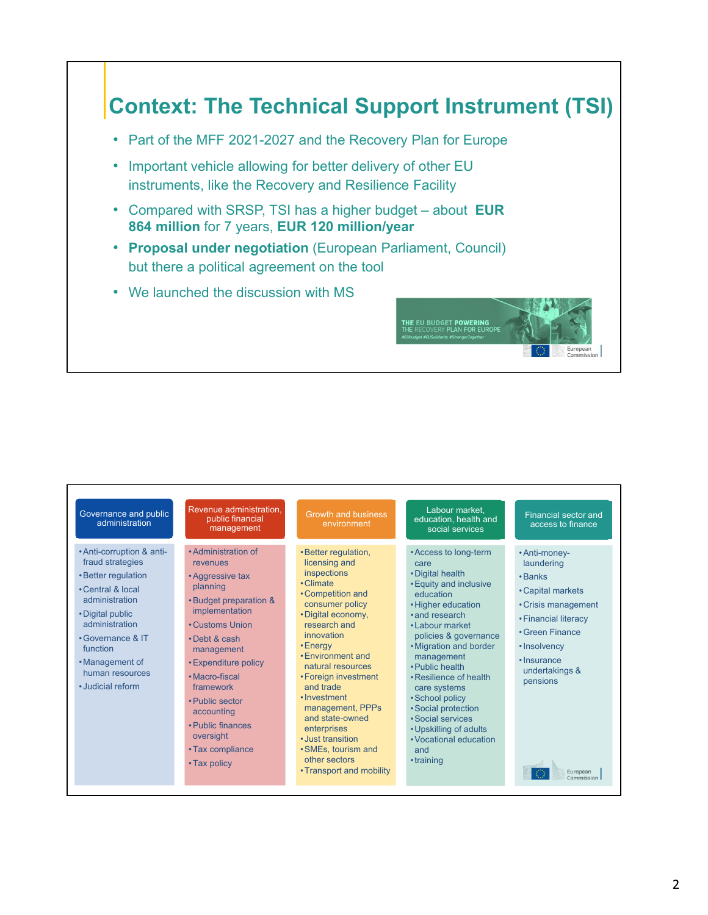## **Context: The Technical Support Instrument (TSI)**

**THE EU BUDGET POWERING<br>THE RECOVERY PLAN FOR EUROP** 

- Part of the MFF 2021-2027 and the Recovery Plan for Europe
- Important vehicle allowing for better delivery of other EU instruments, like the Recovery and Resilience Facility
- Compared with SRSP, TSI has a higher budget about **EUR 864 million** for 7 years, **EUR 120 million/year**
- **Proposal under negotiation** (European Parliament, Council) but there a political agreement on the tool
- We launched the discussion with MS

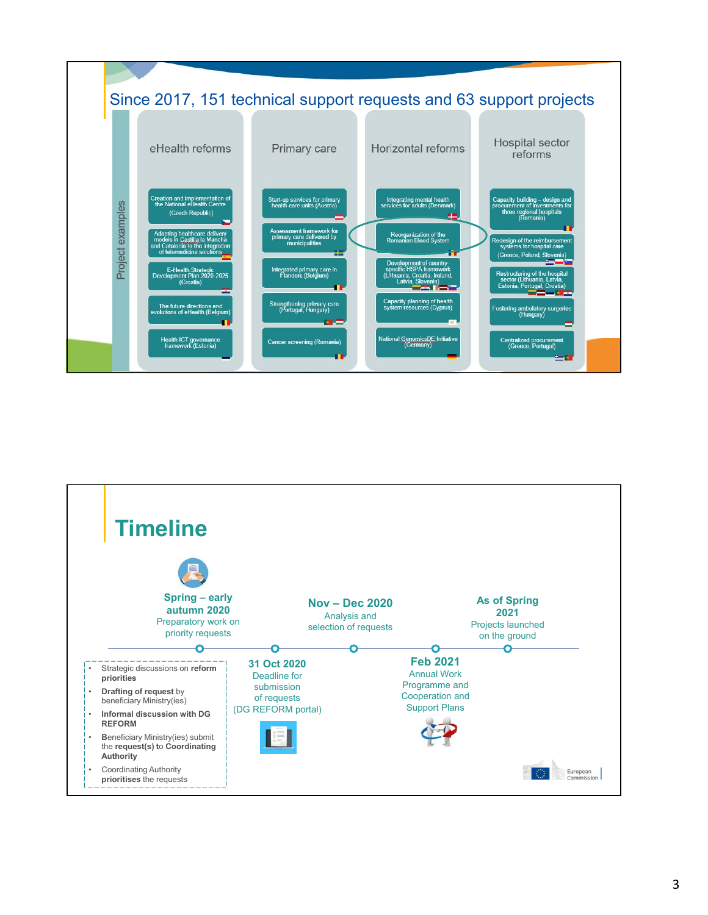

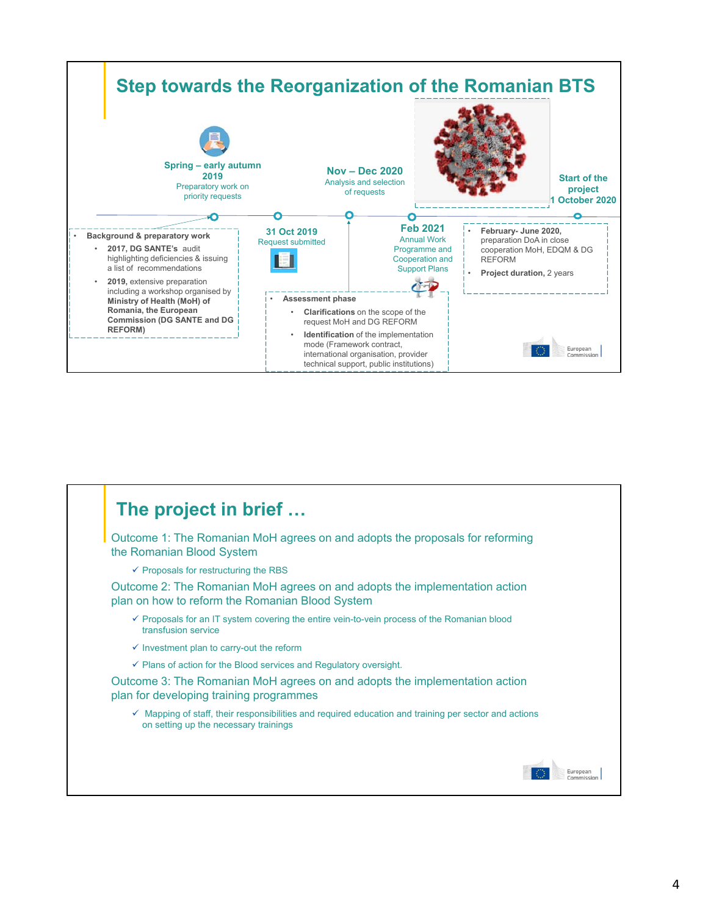